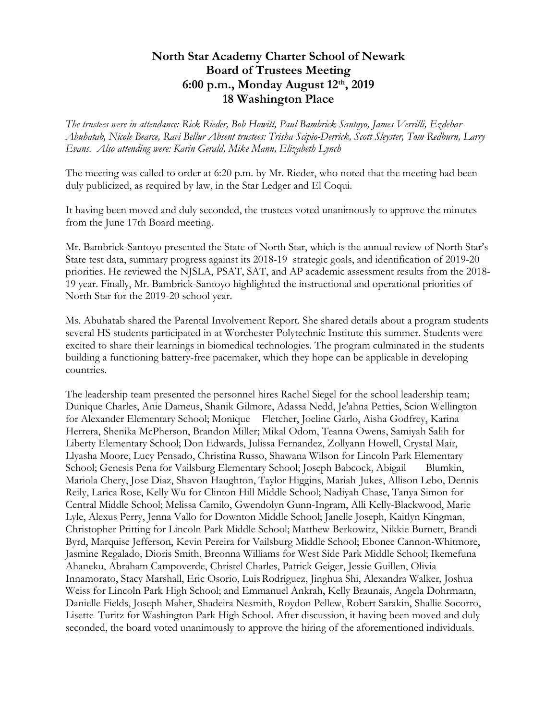## **North Star Academy Charter School of Newark Board of Trustees Meeting 6:00 p.m., Monday August 12 th, 2019 18 Washington Place**

*The trustees were in attendance: Rick Rieder, Bob Howitt, Paul Bambrick-Santoyo, James Verrilli, Ezdehar Abuhatab, Nicole Bearce, Ravi Bellur Absent trustees: Trisha Scipio-Derrick, Scott Sleyster, Tom Redburn, Larry Evans. Also attending were: Karin Gerald, Mike Mann, Elizabeth Lynch*

The meeting was called to order at 6:20 p.m. by Mr. Rieder, who noted that the meeting had been duly publicized, as required by law, in the Star Ledger and El Coqui.

It having been moved and duly seconded, the trustees voted unanimously to approve the minutes from the June 17th Board meeting.

Mr. Bambrick-Santoyo presented the State of North Star, which is the annual review of North Star's State test data, summary progress against its 2018-19 strategic goals, and identification of 2019-20 priorities. He reviewed the NJSLA, PSAT, SAT, and AP academic assessment results from the 2018- 19 year. Finally, Mr. Bambrick-Santoyo highlighted the instructional and operational priorities of North Star for the 2019-20 school year.

Ms. Abuhatab shared the Parental Involvement Report. She shared details about a program students several HS students participated in at Worchester Polytechnic Institute this summer. Students were excited to share their learnings in biomedical technologies. The program culminated in the students building a functioning battery-free pacemaker, which they hope can be applicable in developing countries.

The leadership team presented the personnel hires Rachel Siegel for the school leadership team; Dunique Charles, Anie Dameus, Shanik Gilmore, Adassa Nedd, Je'ahna Petties, Scion Wellington for Alexander Elementary School; Monique Fletcher, Joeline Garlo, Aisha Godfrey, Karina Herrera, Shenika McPherson, Brandon Miller; Mikal Odom, Teanna Owens, Samiyah Salih for Liberty Elementary School; Don Edwards, Julissa Fernandez, Zollyann Howell, Crystal Mair, Llyasha Moore, Lucy Pensado, Christina Russo, Shawana Wilson for Lincoln Park Elementary School; Genesis Pena for Vailsburg Elementary School; Joseph Babcock, Abigail Blumkin, Mariola Chery, Jose Diaz, Shavon Haughton, Taylor Higgins, Mariah Jukes, Allison Lebo, Dennis Reily, Larica Rose, Kelly Wu for Clinton Hill Middle School; Nadiyah Chase, Tanya Simon for Central Middle School; Melissa Camilo, Gwendolyn Gunn-Ingram, Alli Kelly-Blackwood, Marie Lyle, Alexus Perry, Jenna Vallo for Downton Middle School; Janelle Joseph, Kaitlyn Kingman, Christopher Pritting for Lincoln Park Middle School; Matthew Berkowitz, Nikkie Burnett, Brandi Byrd, Marquise Jefferson, Kevin Pereira for Vailsburg Middle School; Ebonee Cannon-Whitmore, Jasmine Regalado, Dioris Smith, Breonna Williams for West Side Park Middle School; Ikemefuna Ahaneku, Abraham Campoverde, Christel Charles, Patrick Geiger, Jessie Guillen, Olivia Innamorato, Stacy Marshall, Eric Osorio, LuisRodriguez, Jinghua Shi, Alexandra Walker, Joshua Weiss for Lincoln Park High School; and Emmanuel Ankrah, Kelly Braunais, Angela Dohrmann, Danielle Fields, Joseph Maher, Shadeira Nesmith, Roydon Pellew, Robert Sarakin, Shallie Socorro, Lisette Turitz for Washington Park High School. After discussion, it having been moved and duly seconded, the board voted unanimously to approve the hiring of the aforementioned individuals.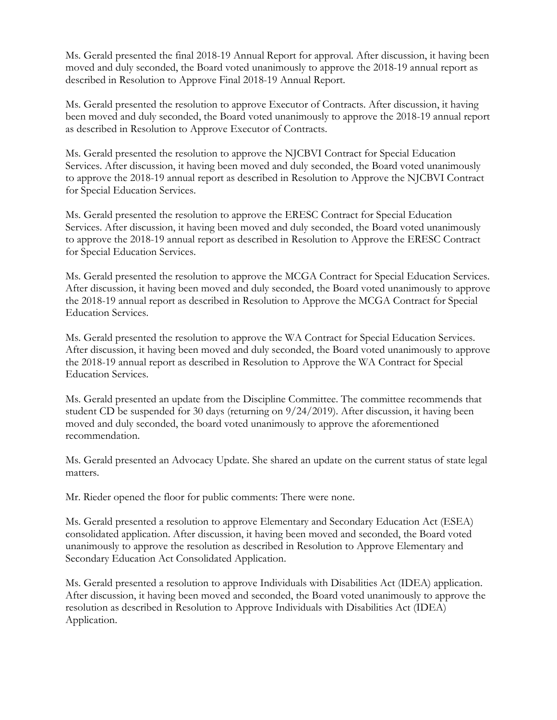Ms. Gerald presented the final 2018-19 Annual Report for approval. After discussion, it having been moved and duly seconded, the Board voted unanimously to approve the 2018-19 annual report as described in Resolution to Approve Final 2018-19 Annual Report.

Ms. Gerald presented the resolution to approve Executor of Contracts. After discussion, it having been moved and duly seconded, the Board voted unanimously to approve the 2018-19 annual report as described in Resolution to Approve Executor of Contracts.

Ms. Gerald presented the resolution to approve the NJCBVI Contract for Special Education Services. After discussion, it having been moved and duly seconded, the Board voted unanimously to approve the 2018-19 annual report as described in Resolution to Approve the NJCBVI Contract for Special Education Services.

Ms. Gerald presented the resolution to approve the ERESC Contract for Special Education Services. After discussion, it having been moved and duly seconded, the Board voted unanimously to approve the 2018-19 annual report as described in Resolution to Approve the ERESC Contract for Special Education Services.

Ms. Gerald presented the resolution to approve the MCGA Contract for Special Education Services. After discussion, it having been moved and duly seconded, the Board voted unanimously to approve the 2018-19 annual report as described in Resolution to Approve the MCGA Contract for Special Education Services.

Ms. Gerald presented the resolution to approve the WA Contract for Special Education Services. After discussion, it having been moved and duly seconded, the Board voted unanimously to approve the 2018-19 annual report as described in Resolution to Approve the WA Contract for Special Education Services.

Ms. Gerald presented an update from the Discipline Committee. The committee recommends that student CD be suspended for 30 days (returning on 9/24/2019). After discussion, it having been moved and duly seconded, the board voted unanimously to approve the aforementioned recommendation.

Ms. Gerald presented an Advocacy Update. She shared an update on the current status of state legal matters.

Mr. Rieder opened the floor for public comments: There were none.

Ms. Gerald presented a resolution to approve Elementary and Secondary Education Act (ESEA) consolidated application. After discussion, it having been moved and seconded, the Board voted unanimously to approve the resolution as described in Resolution to Approve Elementary and Secondary Education Act Consolidated Application.

Ms. Gerald presented a resolution to approve Individuals with Disabilities Act (IDEA) application. After discussion, it having been moved and seconded, the Board voted unanimously to approve the resolution as described in Resolution to Approve Individuals with Disabilities Act (IDEA) Application.